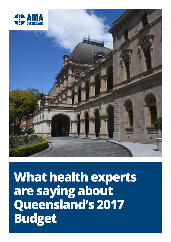

**What health experts are saying about Queensland's 2017 Budget**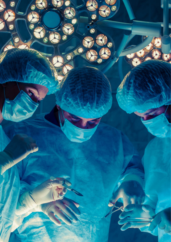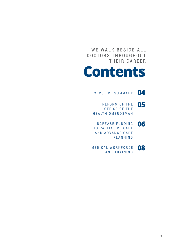WE WALK BESIDE ALL D O C T O R S T H R O U G H O U T THEIR CAREER



- EXECUTIVE SUMMARY **04**
- **REFORM OF THE** OFFICE OF THE HEALTH OMBUDSMAN **05**
- IN CREASE FUNDING TO PALLIATIVE CARE AND ADVANCE CARE PLANNING **06**
- MEDICAL WORKFORCE AND TRAINING **08**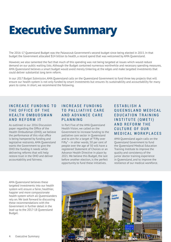# **Executive Summary**

The 2016-17 Queensland Budget was the Palaszczuk Government's second budget since being elected in 2015. In that budget the Government allocated \$14 billion to health, a record spend that was welcomed by AMA Queensland.

However, we also lamented the fact that much of this spending was not being targeted at issues which would reduce demand on our public waiting lists. Although the Budget contained numerous worthwhile and necessary spending measures, AMA Queensland believes a smart budget would avoid merely tinkering at the edges and make targeted investments that could deliver substantial long term reform.

In our *2017 Budget Submission*, AMA Queensland calls on the Queensland Government to fund three key projects that will ensure our health system is not only funded by smart investments but ensures its sustainability and accountability for many years to come. In short, we recommend the following.

## INCREASE FIINDING TO THE OFFICE OF THE H FAITH OMBUDSMAN AND REFORM IT

As outlined in our 2016 Discussion paper regarding the Office of the Health Ombudsman (OHO), we believe the performance of this vital office is being hampered by funding and legislative restraints. AMA Queensland wants the Government to give the OHO the funding it needs while delivering reforms that will help restore trust in the OHO and deliver accountability and fairness.

### INCREASE FIINDING TO PALLIATIVE CARE AND ADVANCE CARE PLANNING

In Part Five of the AMA Queensland Health Vision, we called on the Government to increase funding to the palliative care sector in Queensland and to aim for a target of "Fifty over Fifty" – in other words, 50 per cent of people over the age of 50 will have a registered Statement of Choices or an Advance Health Directive in place by 2021. We believe this Budget, the last before another election, is the perfect opportunity to fund these initiatives.

## ESTARIISH A QUEENSLAND MEDICAL EDUCATION TRAINING INSTITUTE (OMETI) AND REFORM THE CULTURE OF OUR MEDICAL WORKPLACES

AMA Queensland again calls on the Queensland Government to fund the Queensland Medical Education Training Institute to improve the quality and consistency of the junior doctor training experience in Queensland, and to improve the resilience of our medical workforce.

AMA Queensland believes these targeted investments into our health system will ensure a fairer, healthier, happier and more compassionate health system which all Queenslanders rely on. We look forward to discussing these recommendations with the Government in further detail in the lead-up to the 2017-18 Queensland Budget.

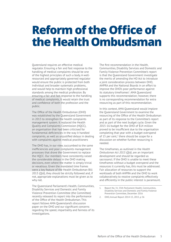## **Reform of the Office of the Health Ombudsman**

Queensland requires an effective medical regulator. Ensuring a fair and fast response to the handling of medical complaints should be one of the highest principles of such a body. A wellresourced and appropriately governed regulator would ensure the public is protected from both individual and broader systematic problems, and would help to maintain high professional standards among the medical profession. By ensuring a fair and fast response to the handling of medical complaints, it would retain the trust and confidence of both the profession and the public.

The Office of the Health Ombudsman (OHO) was established by the Queensland Government in 2013 to strengthen the health complaints management system. It replaced the Health Quality and Complaints Commission (HQCC), an organisation that had been criticised for fundamental deficiencies in the way it handled complaints, as well as unjustified delays in dealing with complaints against medical practitioners

The OHO has, in our view, succumbed to the same inefficiencies and poor complaints management processes that drove the Government to replace the HQCC. Our members have consistently raised the considerable delays in the OHO making decisions, even where the matter is simply trivial or vexatious. Given the mandated time frames were a key feature of the Health Ombudsman Bill 2013 (Qld), they should be strictly followed and, if not, appropriate explanations must be given as to why not.

The Queensland Parliament's Health, Communities, Disability Services and Domestic and Family Violence Prevention Committee (the Committee) recently released its report into the performance of the Office of the Health Ombudsman. This report follows AMA Queensland's discussion paper on the OHO and our significant concerns regarding the speed, impartiality and fairness of its investigations.

The first recommendation in the Health, Communities, Disability Services and Domestic and Family Violence Prevention Committee's report is that the Queensland Government investigate the merits of amending the HO Act to introduce a joint consideration process between OHO, AHPRA and the National Boards in an effort to improve the OHO's poor performance against its statutory timeframes<sup>1</sup>. AMA Queensland supports this recommendation; however, there is no corresponding recommendation for extra resourcing as part of this recommendation.

In this context, AMA Queensland would implore the Queensland Government to examine the resourcing of the Office of the Health Ombudsman as part of its response to the Committee's report and as part of the next budget cycle. Given the 2015-16 budget for the OHO of \$14 million proved to be insufficient due to the organisation completing that year with a budget overspend of 15 per cent, $2$  there should be scope for a discussion on whether further resourcing is needed.

The timeframes, as outlined in the *Health Ombudsman Act 2013 (Qld)*, are an important development and should be regarded as sacrosanct. If the OHO is unable to meet these timeframes without a budget overspend and the resources it currently has, this must be addressed. Fair allocation of resources to support the workloads of both AHPRA and the OHO to work collaboratively to resolve complaints effectively and efficiently in the public interest is paramount.

<sup>1.</sup> Report No. 31, 55th Parliament Health, Communities, Disability Services and Domestic and Family Violence Prevention Committee, December 2016

<sup>2.</sup> OHO, Annual Report 2014-15, 2015, p 56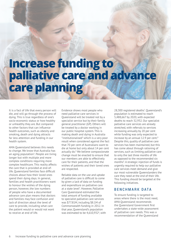## **Increase funding to palliative care and advance care planning**

It is a fact of life that every person will die, and will go through the process of dying. This is true regardless of one's socio-economic status or how healthy or unhealthy they are. But compared to other factors that can influence health outcomes, such as obesity and smoking, death and dying attracts far less attention and funding in our health system.

AMA Queensland believes this needs to change. We know that Australia has an aging population<sup>3</sup>. People are living longer but with multiple and more complex conditions requiring more complex healthcare. This reality affects the care that is provided at end-oflife. Queensland families face difficult choices about how their loved ones spend their dying days. In general, families and health practitioners want to honour the wishes of the dying person, however, the low numbers of people who have a documented advance care plan means that doctors and families may face confusion and lack of direction about the level of care to provide, including what care the patient would or would not want to receive at end of life.

Evidence shows most people who need palliative care services in Queensland will be treated not by a specialist service but by their family general practitioner (GP). Others will be treated by a doctor working in our public hospital system. This is making death and dying in Australia "institutionalised" which is a very poor result when considered against the fact that 70 per cent of Australians want to die at home but only about 14 per cent actually do.<sup>4</sup> We believe compassionate change must be enacted to ensure that our members are able to effectively care for their patients, and that the wishes of patients and their loved ones are respected.

Reliable data on the use and uptake of palliative care is difficult to come by given a lack of data on funding and expenditure on palliative care at a state level<sup>5</sup>. However, Palliative Care Queensland estimated the total amount of funding available to specialist palliative care services was \$77.81M, including \$8.1M of Commonwealth funding in 2012. In that year, Queensland's population was estimated to be  $4,610,932^{\circ}$ , with

28,300 registered deaths<sup>7</sup>. Queensland's population is estimated to reach 5,488,667 by 2020, with expected deaths to reach 32,932. Our specialist palliative care services are already stretched, with referrals to services increasing annually by 20 per cent while funding was only expected to increase by an annual 12.9 per cent.<sup>8</sup> Despite this, quality of palliative care services has been maintained, but this has come about through rationing of services, such as limiting palliative care to only the last three months of life as opposed to the recommended six months<sup>9</sup>. A strategic injection of funds is urgently required to help our palliative care services meet demand and give our most vulnerable Queenslanders the care they need at the end of their life. This funding should be targeted at the following initiatives.

### BENCHMARK DATA

To ensure funding is targeted to areas where there is the most need, AMA Queensland recommends the Queensland Government first undertakes a state-wide assessment of palliative care needs. This was a recommendation of the Queensland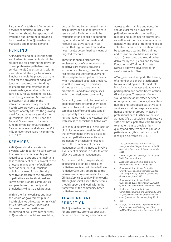Parliament's Health and Community Services committee in 2013. This information should be reported and available publicly to help provide a benchmark on how Queensland is managing and meeting demand.

## FUNDING

AMA Queensland believes the State and Federal Governments should be responsible for ensuring the provision of comprehensive palliative care services to all Queenslanders, within a coordinated, strategic framework. Emphasis should be placed upon the need for the provision of adequate long-term and recurrent funding to enable the implementation of a sustainable, equitable palliative care policy for Queensland. We call upon the Queensland Government to establish as a priority the infrastructure necessary to enable health care providers to efficiently and compassionately address the growing need for palliative care services in Queensland. We also call upon the Federal Government to increase its funding of the National Palliative Care scheme over and above the \$52 million over three years it committed in 2014.10

## SERVICES

AMA Queensland advocates for diversity within palliative care services to allow maximum flexibility with regard to care options, and maintains that continuity of care is pivotal to the effective management of palliative care patients. AMA Queensland upholds the need for a culturally sensitive approach to the provision of palliative care to Aboriginal and Torres Strait Islander communities and people from culturally and linguistically diverse backgrounds.

Within the framework set out under the whole-of-government public health plan we advocated for in *Health Vision Part One*, AMA Queensland believes the coordination and resourcing of palliative care services in Queensland should, and would be,

best performed by designated multidisciplinary specialist palliative care service units. Each unit should be responsible for a specific geographic region and should coordinate and resource palliative care services within that region, based on evident need, ideally determined by means of targeted research.

These units should facilitate the implementation of community-based palliative care models, providing education and training, consultation and respite resources for community and other-hospital-based palliative carers within designated geographic regions, as well as providing a domiciliary visiting team to support general practitioners and domiciliary nurses within their designated community.

Community care should be provided by integrated teams of community-based carers, led by a well-trained, palliative care medical officer and consisting of appropriately trained and experienced nursing, allied health and volunteer staff with access to specialist palliative care.

Care should be provided in the location of choice, wherever possible. Within that environment, there is a place for inpatient palliative care units which are generally attached to hospitals due to the complexity of medical management and the need to involve a variety of clinicians in order to attain effective symptom management.

Each major training hospital should be resourced to set up a specialist palliative care team within a dedicated Palliative Care Unit, according to the interconnected requirements of existing Clinical Service Capability Frameworks. Although hospital-based, these teams should support and work within the framework of the community-based palliative care model.

## TRAINING AND EDUCATION

AMA Queensland recognises the need for and strongly promotes specialist palliative care training and education. Access to this training and education should exist for all providers of palliative care within the medical, nursing and allied health professions, as well as within the community more generally. The special training needs of volunteer palliative carers should also be taken into account. This training and education should be consistent across Queensland and would be best delivered by the Queensland Medical Education and Training Institute (QMETI) body we advocated for in *Health Vision Part Two*.

AMA Queensland supports the training of a number of general practitioners to take a leading and informed role in facilitating a greater palliative care participation and commitment of their GP colleagues. These practitioners would provide an interface between other general practitioners, domiciliary nursing and specialised palliative care services, as well as hospitals, nursing homes and other groups involved in professional care. Further, we believe as many GPs as possible should receive sufficient basic palliative care training to enable them to provide highquality and effective care to palliative patients. Again, this could and should ideally be delivered by QMETI.

- 3. The Commonwealth of Australia, *2015 Intergenerational Report Australia in 2055*, Australian Government, Canberra, March 2015
- 4. Swerissen, H and Duckett, S., 2014, Dying Well. Grattan Institute
- 5. Australian Senate Committee Inquiry, Palliative care in Australia, 50–53
- 6. Queensland Statistician, Population Growth, Queensland, December Quarter 2012, http://bit.ly/1hGDYiV, Queensland Government, June 2013
- 7. Queensland Statistician, Deaths, Queensland 2012, http://bit.ly/1Ewu0FP, Queensland Government, November 2013
- 8. Health and Community Services Committee, Palliative and Community Care in Queensland: towards person-centred care, Queensland Parliament, May 2013 9. ibid
- 10. Nash, F, \$52 Million to Improve Palliative Care Services and Training, http://bit. ly/1MwDMzD, Australian Government, 2014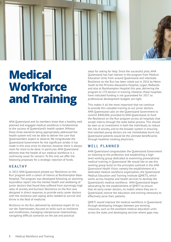

## **Medical Workforce and Training**

AMA Queensland and its members know that a healthy, well planned and engaged medical workforce is fundamental to the success of Queensland's health system. Without these three elements being appropriately addressed the health system will not be able to deliver the care that Queenslanders expect or deserve. We congratulate the Queensland Government for the significant strides it has made in this area since its election, however there is always room for more to be done. In particular, AMA Queensland believes that the health of our medical workforce is a continuing cause for concern. To this end, we offer the following proposals for a strategic injection of funds.

## **HEALTHY**

In 2015 AMA Queensland piloted our 'Resilience on the Run' program with a cohort of interns at Rockhampton Base Hospital. The program was developed following an alarming *beyondblue* report into the mental health and wellbeing of junior doctors that found they suffered from alarmingly high rates of anxiety and burnout. Resilience on the Run was designed in direct response, to provide early career doctors with the resilience and coping skills needed to survive and thrive in the field of medicine.

*Resilience on the Run*, delivered by resilience expert Dr Ira van der Steenstraten, focused on skills such as resilience and mindfulness, managing interpersonal relationships, navigating difficult scenarios on the job and practical

steps for asking for help. Since the successful pilot, AMA Queensland has had interest in the program from Medical Education Units from around Queensland and interstate. Resilience on the Run has been rolled out in 2016 by Metro South to the Princess Alexandria Hospital, Logan, Redlands and also at Rockhampton Hospital this year, delivering the program to 170 doctors in training. However, these hospitals have indicated funding is not guaranteed for 2017 as professional development budgets are tight.

This makes it all the more important that we continue to provide this valuable training to our junior doctors. AMA Queensland calls on the Queensland Government to commit \$400,000, provided to AMA Queensland, to fund the Resilience on the Run program across all hospitals that accept interns through the state ballot process. This should be seen as an investment in both the individuals, to reduce the risk of anxiety, and to the broader system in ensuring that talented young doctors are not immediately burnt out. Queensland patients would be the ultimate beneficiaries through healthier treating physicians.

## WELL PLANNED

AMA Queensland congratulates the Queensland Government on listening to the profession and establishing a highlevel working group dedicated to examining prevocational medical training in Queensland. We would like to see this working group build on the principles outlined in the *AMA Queensland Health Vision*, namely the establishment of a dedicated medical workforce organisation, the Queensland Medical Education and Training Institute (QMETI), which works across hospital and health services to develop the Queensland's medical workforce. AMA Queensland began advocating for the establishment of QMETI to ensure that all early career doctors, no matter where they are in Queensland, receive the education and training necessary to effectively serve their patients.

QMETI would improve the medical workforce in Queensland through developing linkages between pre-existing resources, such as the excellent medical education units across the state, and developing services where gaps may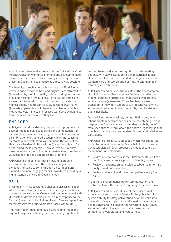

exist. It would also work closely with the Office of the Chief Medical Officer in workforce planning and development, to ensure that there is a cohesive strategy for every medical officer in Queensland to practice as effectively as possible.

The benefits of such an organisation are manifold. Firstly, it would ensure that the best and brightest are attracted to Queensland by the high quality training and opportunities provided. Secondly, it would ensure that all doctors have a clear path to develop their skills, so as to provide the highest quality health service to Queenslanders. Finally, Queensland patients would benefit from having a highly motivated, well trained, and focused workforce available to treat them, no matter where they live.

#### ENGAGED

AMA Queensland is extremely supportive of programs that develop the leadership capabilities and competencies of medical practitioners. These programs should comprise of a combination of structured, academic learning, coaching, mentorship and evaluation. We commend the work of the Healthcare Leadership Unit within Queensland Health for establishing these programs. However, we believe they must be expanded, with funding to match, to ensure that all Queensland clinicians can access the programs.

AMA Queensland believes that by making a prudent investment in these areas the public can enjoy the dividends for years to come through a healthier, better planned, and more engaged medical workforce providing a higher standard of care to Queenslanders.

### SAFE

In October, AMA Queensland launched a discussion paper which examined ways in which the challenges which face maternity services across Queensland can be improved. AMA Queensland developed this paper in direct response to the Central Queensland Hospital and Health Service report into Maternity Services at Rockhampton Base Hospital (RBH).

This report identified numerous issues common to many regional hospitals including midwife training, significant cultural issues and a poor recognition of deteriorating patients with slow escalation to the obstetrician. It also clearly indicated that there needed to be greater input into women's care and coordination of multi-disciplinary team efforts by an obstetrician.

AMA Queensland believes the results of the Rockhampton Hospital Maternity Service review findings are reflective of long-standing practice challenges faced by maternity services across Queensland. There has been a slow transition to midwifery-led practice in recent years with a subsequent reduction in involvement by the obstetrician in public hospitals.

Obstetricians are increasingly being called in only when a labour problem becomes serious or life-threatening. This is despite significant evidence that mother and baby benefit from specialist care throughout the entire pregnancy, so that possible complications can be identified and mitigated at an early stage.

AMA Queensland's discussion paper, which was supported by the National Association of Specialist Obstetricians and Gynaecologists (NASOG), proposed a model of care that recommends obstetricians:

- Review all new patients at their first antenatal visit at a ٠ public maternity service, prior to midwifery consult;
- Review all patients on admission to labour suite for risk analysis and documentation;
- ь Review and examine all labouring patients every four hours.

In addition, it recommends better communication and involvement with the patient's regular general practitioner.

AMA Queensland believes it is vital that Queensland's expectant parents have confidence in the public hospital system's ability to safely deliver their newborn child into the world. It is our hope that our discussion paper helps to begin conversations between the Government, ourselves and other stakeholders, so that we can ensure that confidence is well placed and well earned.